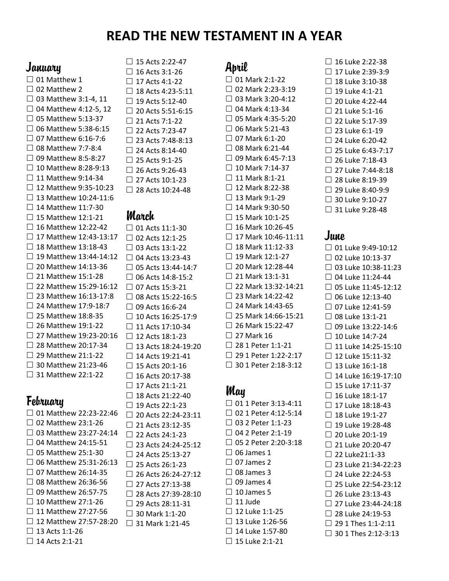# **READ THE NEW TESTAMENT IN A YEAR**

#### **January**

 $\Box$  01 Matthew 1  $\Box$  02 Matthew 2  $\Box$  03 Matthew 3:1-4, 11  $\Box$  04 Matthew 4:12-5, 12  $\Box$  05 Matthew 5:13-37  $\Box$  06 Matthew 5:38-6:15  $\Box$  07 Matthew 6:16-7:6  $\Box$  08 Matthew 7:7-8:4  $\Box$  09 Matthew 8:5-8:27  $\Box$  10 Matthew 8:28-9:13  $\Box$  11 Matthew 9:14-34  $\Box$  12 Matthew 9:35-10:23  $\Box$  13 Matthew 10:24-11:6  $\Box$  14 Matthew 11:7-30  $\Box$  15 Matthew 12:1-21  $\Box$  16 Matthew 12:22-42  $\Box$  17 Matthew 12:43-13:17  $\Box$  18 Matthew 13:18-43  $\Box$  19 Matthew 13:44-14:12  $\Box$  20 Matthew 14:13-36  $\Box$  21 Matthew 15:1-28 □ 22 Matthew 15:29-16:12  $\Box$  23 Matthew 16:13-17:8  $\Box$  24 Matthew 17:9-18:7  $\Box$  25 Matthew 18:8-35  $\Box$  26 Matthew 19:1-22  $\Box$  27 Matthew 19:23-20:16 □ 28 Matthew 20:17-34  $\Box$  29 Matthew 21:1-22 □ 30 Matthew 21:23-46 □ 31 Matthew 22:1-22

## **February**

□ 01 Matthew 22:23-22:46  $\Box$  02 Matthew 23:1-26  $\Box$  03 Matthew 23:27-24:14  $\Box$  04 Matthew 24:15-51  $\Box$  05 Matthew 25:1-30  $\Box$  06 Matthew 25:31-26:13  $\Box$  07 Matthew 26:14-35  $\Box$  08 Matthew 26:36-56  $\Box$  09 Matthew 26:57-75  $\Box$  10 Matthew 27:1-26  $\Box$  11 Matthew 27:27-56  $\Box$  12 Matthew 27:57-28:20  $\Box$  13 Acts 1:1-26  $\Box$  14 Acts 2:1-21

 $\Box$  15 Acts 2:22-47  $\Box$  16 Acts 3:1-26  $\Box$  17 Acts 4:1-22  $\Box$  18 Acts 4:23-5:11  $\Box$  19 Acts 5:12-40  $\Box$  20 Acts 5:51-6:15  $\Box$  21 Acts 7:1-22  $\Box$  22 Acts 7:23-47 □ 23 Acts 7:48-8:13  $\Box$  24 Acts 8:14-40  $\Box$  25 Acts 9:1-25  $\Box$  26 Acts 9:26-43  $\Box$  27 Acts 10:1-23  $\Box$  28 Acts 10:24-48

#### March

□ 01 Acts 11:1-30 □ 02 Acts 12:1-25 □ 03 Acts 13:1-22  $\Box$  04 Acts 13:23-43  $\Box$  05 Acts 13:44-14:7  $\Box$  06 Acts 14:8-15:2  $\Box$  07 Acts 15:3-21 □ 08 Acts 15:22-16:5  $\Box$  09 Acts 16:6-24  $\Box$  10 Acts 16:25-17:9  $\Box$  11 Acts 17:10-34  $\Box$  12 Acts 18:1-23 □ 13 Acts 18:24-19:20  $\Box$  14 Acts 19:21-41  $\Box$  15 Acts 20:1-16  $\Box$  16 Acts 20:17-38  $\Box$  17 Acts 21:1-21  $\Box$  18 Acts 21:22-40  $\Box$  19 Acts 22:1-23 □ 20 Acts 22:24-23:11  $\Box$  21 Acts 23:12-35 □ 22 Acts 24:1-23 □ 23 Acts 24:24-25:12  $\Box$  24 Acts 25:13-27  $\Box$  25 Acts 26:1-23  $\Box$  26 Acts 26:24-27:12  $\Box$  27 Acts 27:13-38  $\Box$  28 Acts 27:39-28:10  $\Box$  29 Acts 28:11-31 30 Mark 1:1-20 □ 31 Mark 1:21-45

```
April
```
 $\Box$  01 Mark 2:1-22 □ 02 Mark 2:23-3:19  $\Box$  03 Mark 3:20-4:12  $\Box$  04 Mark 4:13-34  $\Box$  05 Mark 4:35-5:20  $\Box$  06 Mark 5:21-43  $\Box$  07 Mark 6:1-20  $\Box$  08 Mark 6:21-44  $\Box$  09 Mark 6:45-7:13  $\Box$  10 Mark 7:14-37  $\Box$  11 Mark 8:1-21  $\Box$  12 Mark 8:22-38  $\Box$  13 Mark 9:1-29  $\Box$  14 Mark 9:30-50  $\Box$  15 Mark 10:1-25  $\Box$  16 Mark 10:26-45  $\Box$  17 Mark 10:46-11:11  $\Box$  18 Mark 11:12-33  $\Box$  19 Mark 12:1-27  $\Box$  20 Mark 12:28-44  $\Box$  21 Mark 13:1-31 □ 22 Mark 13:32-14:21  $\Box$  23 Mark 14:22-42  $\Box$  24 Mark 14:43-65  $\Box$  25 Mark 14:66-15:21  $\Box$  26 Mark 15:22-47  $\Box$  27 Mark 16  $\Box$  28 1 Peter 1:1-21 □ 29 1 Peter 1:22-2:17 □ 30 1 Peter 2:18-3:12

### May

□ 01 1 Peter 3:13-4:11 □ 02 1 Peter 4:12-5:14 03 2 Peter 1:1-23  $\Box$  04 2 Peter 2:1-19 □ 05 2 Peter 2:20-3:18  $\Box$  06 James 1  $\Box$  07 James 2  $\Box$  08 James 3  $\Box$  09 James 4  $\Box$  10 James 5  $\Box$  11 Jude  $\Box$  12 Luke 1:1-25  $\Box$  13 Luke 1:26-56  $\Box$  14 Luke 1:57-80  $\Box$  15 Luke 2:1-21

 $\Box$  16 Luke 2:22-38  $\Box$  17 Luke 2:39-3:9  $\Box$  18 Luke 3:10-38  $\Box$  19 Luke 4:1-21  $\Box$  20 Luke 4:22-44  $\Box$  21 Luke 5:1-16  $\Box$  22 Luke 5:17-39  $\Box$  23 Luke 6:1-19  $\Box$  24 Luke 6:20-42  $\Box$  25 Luke 6:43-7:17  $\Box$  26 Luke 7:18-43  $\Box$  27 Luke 7:44-8:18  $\Box$  28 Luke 8:19-39  $\Box$  29 Luke 8:40-9:9  $\Box$  30 Luke 9:10-27 □ 31 Luke 9:28-48

# June

□ 01 Luke 9:49-10:12  $\Box$  02 Luke 10:13-37 □ 03 Luke 10:38-11:23  $\Box$  04 Luke 11:24-44  $\Box$  05 Luke 11:45-12:12  $\Box$  06 Luke 12:13-40  $\Box$  07 Luke 12:41-59  $\Box$  08 Luke 13:1-21 □ 09 Luke 13:22-14:6  $\Box$  10 Luke 14:7-24 □ 11 Luke 14:25-15:10  $\Box$  12 Luke 15:11-32  $\Box$  13 Luke 16:1-18  $\Box$  14 Luke 16:19-17:10 □ 15 Luke 17:11-37  $\Box$  16 Luke 18:1-17  $\Box$  17 Luke 18:18-43  $\Box$  18 Luke 19:1-27  $\Box$  19 Luke 19:28-48  $\Box$  20 Luke 20:1-19  $\Box$  21 Luke 20:20-47  $\Box$  22 Luke21:1-33 □ 23 Luke 21:34-22:23  $\Box$  24 Luke 22:24-53 □ 25 Luke 22:54-23:12  $\Box$  26 Luke 23:13-43  $\Box$  27 Luke 23:44-24:18  $\Box$  28 Luke 24:19-53 □ 29 1 Thes 1:1-2:11  $\Box$  30 1 Thes 2:12-3:13